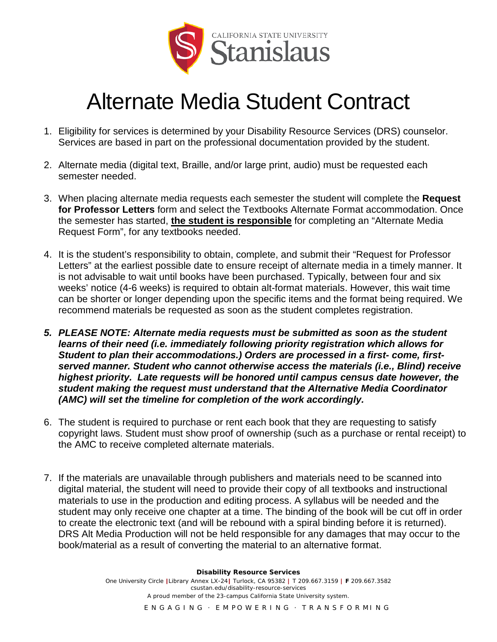

## Alternate Media Student Contract

- 1. Eligibility for services is determined by your Disability Resource Services (DRS) counselor. Services are based in part on the professional documentation provided by the student.
- 2. Alternate media (digital text, Braille, and/or large print, audio) must be requested each semester needed.
- 3. When placing alternate media requests each semester the student will complete the **Request for Professor Letters** form and select the Textbooks Alternate Format accommodation. Once the semester has started, **the student is responsible** for completing an "Alternate Media Request Form", for any textbooks needed.
- 4. It is the student's responsibility to obtain, complete, and submit their "Request for Professor Letters" at the earliest possible date to ensure receipt of alternate media in a timely manner. It is not advisable to wait until books have been purchased. Typically, between four and six weeks' notice (4-6 weeks) is required to obtain alt-format materials. However, this wait time can be shorter or longer depending upon the specific items and the format being required. We recommend materials be requested as soon as the student completes registration.
- *5. PLEASE NOTE: Alternate media requests must be submitted as soon as the student learns of their need (i.e. immediately following priority registration which allows for Student to plan their accommodations.) Orders are processed in a first- come, firstserved manner. Student who cannot otherwise access the materials (i.e., Blind) receive highest priority. Late requests will be honored until campus census date however, the student making the request must understand that the Alternative Media Coordinator (AMC) will set the timeline for completion of the work accordingly.*
- 6. The student is required to purchase or rent each book that they are requesting to satisfy copyright laws. Student must show proof of ownership (such as a purchase or rental receipt) to the AMC to receive completed alternate materials.
- 7. If the materials are unavailable through publishers and materials need to be scanned into digital material, the student will need to provide their copy of all textbooks and instructional materials to use in the production and editing process. A syllabus will be needed and the student may only receive one chapter at a time. The binding of the book will be cut off in order to create the electronic text (and will be rebound with a spiral binding before it is returned). DRS Alt Media Production will not be held responsible for any damages that may occur to the book/material as a result of converting the material to an alternative format.

**Disability Resource Services**  One University Circle **|**Library Annex LX-24**|** Turlock, CA 95382 **|** T 209.667.3159 **| F** 209.667.3582 csustan.edu/disability-resource-services *A proud member of the 23-campus California State University system.*